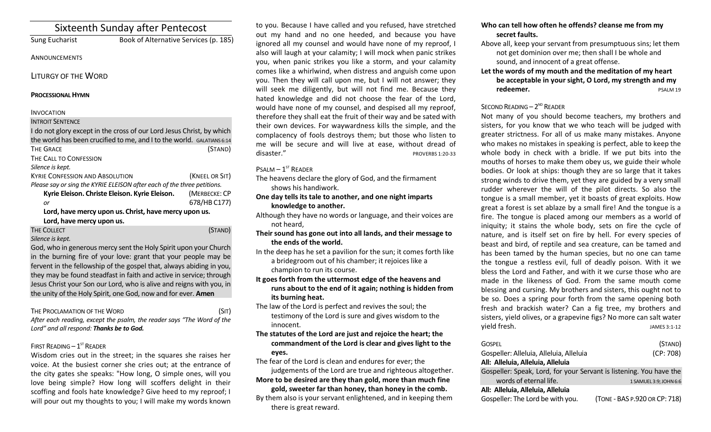|                                                                         | Sixteenth Sunday after Pentecost      |                |
|-------------------------------------------------------------------------|---------------------------------------|----------------|
| Sung Eucharist                                                          | Book of Alternative Services (p. 185) |                |
| ANNOUNCEMENTS                                                           |                                       |                |
| <b>LITURGY OF THE WORD</b>                                              |                                       |                |
| <b>PROCESSIONAL HYMN</b>                                                |                                       |                |
| <b>INVOCATION</b>                                                       |                                       |                |
| <b>INTROIT SENTENCE</b>                                                 |                                       |                |
| I do not glory except in the cross of our Lord Jesus Christ, by which   |                                       |                |
| the world has been crucified to me, and I to the world. GALATIANS 6:14  |                                       |                |
| <b>THE GRACE</b>                                                        |                                       | (STAND)        |
| THE CALL TO CONFESSION                                                  |                                       |                |
| Silence is kept.                                                        |                                       |                |
| <b>KYRIE CONFESSION AND ABSOLUTION</b>                                  |                                       | (KNEEL OR SIT) |
| Please say or sing the KYRIE ELEISON after each of the three petitions. |                                       |                |
| Kyrie Eleison. Christe Eleison. Kyrie Eleison.                          |                                       | (MERBECKE: CP  |
| or                                                                      |                                       | 678/HB C177)   |
| Lord, have mercy upon us. Christ, have mercy upon us.                   |                                       |                |
| Lord, have mercy upon us.                                               |                                       |                |
| <b>THE COLLECT</b>                                                      |                                       | (STAND)        |
| Silence is kept.                                                        |                                       |                |

God, who in generous mercy sent the Holy Spirit upon your Church in the burning fire of your love: grant that your people may be fervent in the fellowship of the gospel that, always abiding in you, they may be found steadfast in faith and active in service; through Jesus Christ your Son our Lord, who is alive and reigns with you, in the unity of the Holy Spirit, one God, now and for ever. **Amen**

THE PROCLAMATION OF THE WORD (SIT) *After each reading, except the psalm, the reader says "The Word of the Lord" and all respond: Thanks be to God.* 

## FIRST READING  $-1^\text{ST}$  READER

Wisdom cries out in the street; in the squares she raises her voice. At the busiest corner she cries out; at the entrance of the city gates she speaks: "How long, O simple ones, will you love being simple? How long will scoffers delight in their scoffing and fools hate knowledge? Give heed to my reproof; I will pour out my thoughts to you; I will make my words known

to you. Because I have called and you refused, have stretched out my hand and no one heeded, and because you have ignored all my counsel and would have none of my reproof, I also will laugh at your calamity; I will mock when panic strikes you, when panic strikes you like a storm, and your calamity comes like a whirlwind, when distress and anguish come upon you. Then they will call upon me, but I will not answer; they will seek me diligently, but will not find me. Because they hated knowledge and did not choose the fear of the Lord, would have none of my counsel, and despised all my reproof, therefore they shall eat the fruit of their way and be sated with their own devices. For waywardness kills the simple, and the complacency of fools destroys them; but those who listen to me will be secure and will live at ease, without dread of disaster." PROVERBS 1:20-33

 $P$ SALM  $-1$ <sup>ST</sup> READER

The heavens declare the glory of God, and the firmament shows his handiwork.

**One day tells its tale to another, and one night imparts knowledge to another.** 

Although they have no words or language, and their voices are not heard,

- **Their sound has gone out into all lands, and their message to the ends of the world.**
- In the deep has he set a pavilion for the sun; it comes forth like a bridegroom out of his chamber; it rejoices like a champion to run its course.

**It goes forth from the uttermost edge of the heavens and runs about to the end of it again; nothing is hidden from its burning heat.** 

The law of the Lord is perfect and revives the soul; the testimony of the Lord is sure and gives wisdom to the innocent.

**The statutes of the Lord are just and rejoice the heart; the commandment of the Lord is clear and gives light to the eyes.**

The fear of the Lord is clean and endures for ever; the

judgements of the Lord are true and righteous altogether. **More to be desired are they than gold, more than much fine** 

**gold, sweeter far than honey, than honey in the comb.**  By them also is your servant enlightened, and in keeping them there is great reward.

- **Who can tell how often he offends? cleanse me from my secret faults.**
- Above all, keep your servant from presumptuous sins; let them not get dominion over me; then shall I be whole and sound, and innocent of a great offense.
- **Let the words of my mouth and the meditation of my heart be acceptable in your sight, O Lord, my strength and my redeemer.** PSALM 19

# SECOND READING  $-2^{ND}$  READER

Not many of you should become teachers, my brothers and sisters, for you know that we who teach will be judged with greater strictness. For all of us make many mistakes. Anyone who makes no mistakes in speaking is perfect, able to keep the whole body in check with a bridle. If we put bits into the mouths of horses to make them obey us, we guide their whole bodies. Or look at ships: though they are so large that it takes strong winds to drive them, yet they are guided by a very small rudder wherever the will of the pilot directs. So also the tongue is a small member, yet it boasts of great exploits. How great a forest is set ablaze by a small fire! And the tongue is a fire. The tongue is placed among our members as a world of iniquity; it stains the whole body, sets on fire the cycle of nature, and is itself set on fire by hell. For every species of beast and bird, of reptile and sea creature, can be tamed and has been tamed by the human species, but no one can tame the tongue a restless evil, full of deadly poison. With it we bless the Lord and Father, and with it we curse those who are made in the likeness of God. From the same mouth come blessing and cursing. My brothers and sisters, this ought not to be so. Does a spring pour forth from the same opening both fresh and brackish water? Can a fig tree, my brothers and sisters, yield olives, or a grapevine figs? No more can salt water vield fresh. JAMES 3:1-12

| GOSPEL<br>Gospeller: Alleluia, Alleluia, Alleluia                   | (STAND)<br>(CP: 708)          |
|---------------------------------------------------------------------|-------------------------------|
| All: Alleluia, Alleluia, Alleluia                                   |                               |
| Gospeller: Speak, Lord, for your Servant is listening. You have the |                               |
| words of eternal life.                                              | 1 SAMUEL 3:9; JOHN 6:6        |
| All: Alleluia, Alleluia, Alleluia                                   |                               |
| Gospeller: The Lord be with you.                                    | (TONE - BAS P.920 OR CP: 718) |